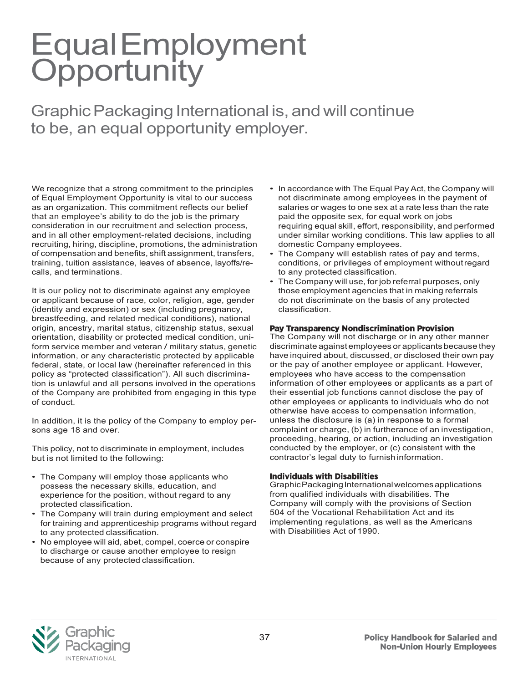# Equal Employment<br>Opportunity

Graphic Packaging International is, and will continue to be, an equal opportunity employer.

We recognize that a strong commitment to the principles of Equal Employment Opportunity is vital to our success as an organization. This commitment reflects our belief that an employee's ability to do the job is the primary consideration in our recruitment and selection process, and in all other employment-related decisions, including recruiting, hiring, discipline, promotions, the administration of compensation and benefits, shift assignment, transfers, training, tuition assistance, leaves of absence, layoffs/recalls, and terminations.

It is our policy not to discriminate against any employee or applicant because of race, color, religion, age, gender (identity and expression) or sex (including pregnancy, breastfeeding, and related medical conditions), national origin, ancestry, marital status, citizenship status, sexual orientation, disability or protected medical condition, uniform service member and veteran / military status, genetic information, or any characteristic protected by applicable federal, state, or local law (hereinafter referenced in this policy as "protected classification"). All such discrimination is unlawful and all persons involved in the operations of the Company are prohibited from engaging in this type of conduct.

In addition, it is the policy of the Company to employ persons age 18 and over.

This policy, not to discriminate in employment, includes but is not limited to the following:

- The Company will employ those applicants who possess the necessary skills, education, and experience for the position, without regard to any protected classification.
- The Company will train during employment and select for training and apprenticeship programs without regard to any protected classification.
- No employee will aid, abet, compel, coerce or conspire to discharge or cause another employee to resign because of any protected classification.
- In accordance with The Equal Pay Act, the Company will not discriminate among employees in the payment of salaries or wages to one sex at a rate less than the rate paid the opposite sex, for equal work on jobs requiring equal skill, effort, responsibility, and performed under similar working conditions. This law applies to all domestic Company employees.
- The Company will establish rates of pay and terms, conditions, or privileges of employment withoutregard to any protected classification.
- The Company will use, for job referral purposes, only those employment agencies that in making referrals do not discriminate on the basis of any protected classification.

#### Pay Transparency Nondiscrimination Provision

The Company will not discharge or in any other manner discriminate against employees or applicants because they have inquired about, discussed, or disclosed their own pay or the pay of another employee or applicant. However, employees who have access to the compensation information of other employees or applicants as a part of their essential job functions cannot disclose the pay of other employees or applicants to individuals who do not otherwise have access to compensation information, unless the disclosure is (a) in response to a formal complaint or charge, (b) in furtherance of an investigation, proceeding, hearing, or action, including an investigation conducted by the employer, or (c) consistent with the contractor's legal duty to furnish information.

#### **Individuals with Disabilities**

Graphic Packaging International welcomes applications from qualified individuals with disabilities. The Company will comply with the provisions of Section 504 of the Vocational Rehabilitation Act and its implementing regulations, as well as the Americans with Disabilities Act of 1990.

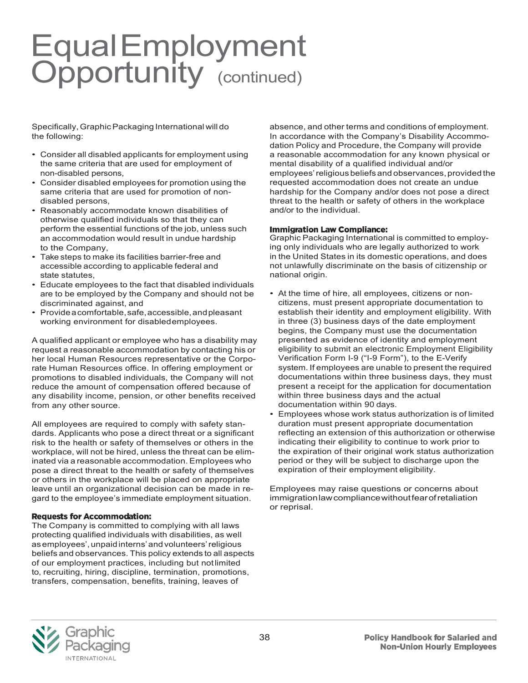## Equal Employment<br>Opportunity (continued)

Specifically,GraphicPackaging International will do the following:

- Consider all disabled applicants for employment using the same criteria that are used for employment of non-disabled persons,
- Consider disabled employees for promotion using the same criteria that are used for promotion of nondisabled persons,
- Reasonably accommodate known disabilities of otherwise qualified individuals so that they can perform the essential functions of the job, unless such an accommodation would result in undue hardship to the Company,
- Take steps to make its facilities barrier-free and accessible according to applicable federal and state statutes,
- Educate employees to the fact that disabled individuals are to be employed by the Company and should not be discriminated against, and
- Provideacomfortable,safe,accessible,andpleasant working environment for disabledemployees.

A qualified applicant or employee who has a disability may request a reasonable accommodation by contacting his or her local Human Resources representative or the Corporate Human Resources office. In offering employment or promotions to disabled individuals, the Company will not reduce the amount of compensation offered because of any disability income, pension, or other benefits received from any other source.

All employees are required to comply with safety standards. Applicants who pose a direct threat or a significant risk to the health or safety of themselves or others in the workplace, will not be hired, unless the threat can be eliminated via a reasonable accommodation. Employees who pose a direct threat to the health or safety of themselves or others in the workplace will be placed on appropriate leave until an organizational decision can be made in regard to the employee's immediate employment situation.

#### **Requests for Accommodation:**

The Company is committed to complying with all laws protecting qualified individuals with disabilities, as well asemployees',unpaidinterns'andvolunteers'religious beliefs and observances. This policy extends to all aspects of our employment practices, including but notlimited to, recruiting, hiring, discipline, termination, promotions, transfers, compensation, benefits, training, leaves of

absence, and other terms and conditions of employment. In accordance with the Company's Disability Accommodation Policy and Procedure, the Company will provide a reasonable accommodation for any known physical or mental disability of a qualified individual and/or employees' religious beliefs and observances, provided the requested accommodation does not create an undue hardship for the Company and/or does not pose a direct threat to the health or safety of others in the workplace and/or to the individual.

#### **Immigration Law Compliance:**

Graphic Packaging International is committed to employing only individuals who are legally authorized to work in the United States in its domestic operations, and does not unlawfully discriminate on the basis of citizenship or national origin.

- At the time of hire, all employees, citizens or noncitizens, must present appropriate documentation to establish their identity and employment eligibility. With in three (3) business days of the date employment begins, the Company must use the documentation presented as evidence of identity and employment eligibility to submit an electronic Employment Eligibility Verification Form I-9 ("I-9 Form"), to the E-Verify system. If employees are unable to present the required documentations within three business days, they must present a receipt for the application for documentation within three business days and the actual documentation within 90 days.
- Employees whose work status authorization is of limited duration must present appropriate documentation reflecting an extension of this authorization or otherwise indicating their eligibility to continue to work prior to the expiration of their original work status authorization period or they will be subject to discharge upon the expiration of their employment eligibility.

Employees may raise questions or concerns about immigrationlawcompliancewithoutfearofretaliation or reprisal.